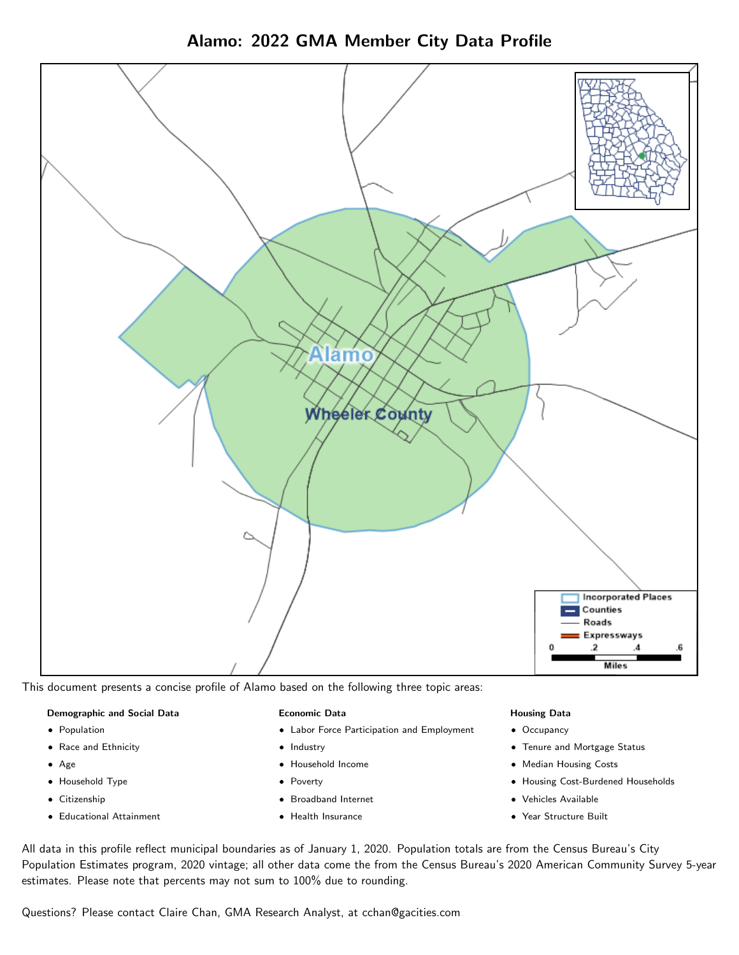



This document presents a concise profile of Alamo based on the following three topic areas:

#### Demographic and Social Data

- **•** Population
- Race and Ethnicity
- Age
- Household Type
- **Citizenship**
- Educational Attainment

#### Economic Data

- Labor Force Participation and Employment
- Industry
- Household Income
- Poverty
- Broadband Internet
- Health Insurance

#### Housing Data

- Occupancy
- Tenure and Mortgage Status
- Median Housing Costs
- Housing Cost-Burdened Households
- Vehicles Available
- Year Structure Built

All data in this profile reflect municipal boundaries as of January 1, 2020. Population totals are from the Census Bureau's City Population Estimates program, 2020 vintage; all other data come the from the Census Bureau's 2020 American Community Survey 5-year estimates. Please note that percents may not sum to 100% due to rounding.

Questions? Please contact Claire Chan, GMA Research Analyst, at [cchan@gacities.com.](mailto:cchan@gacities.com)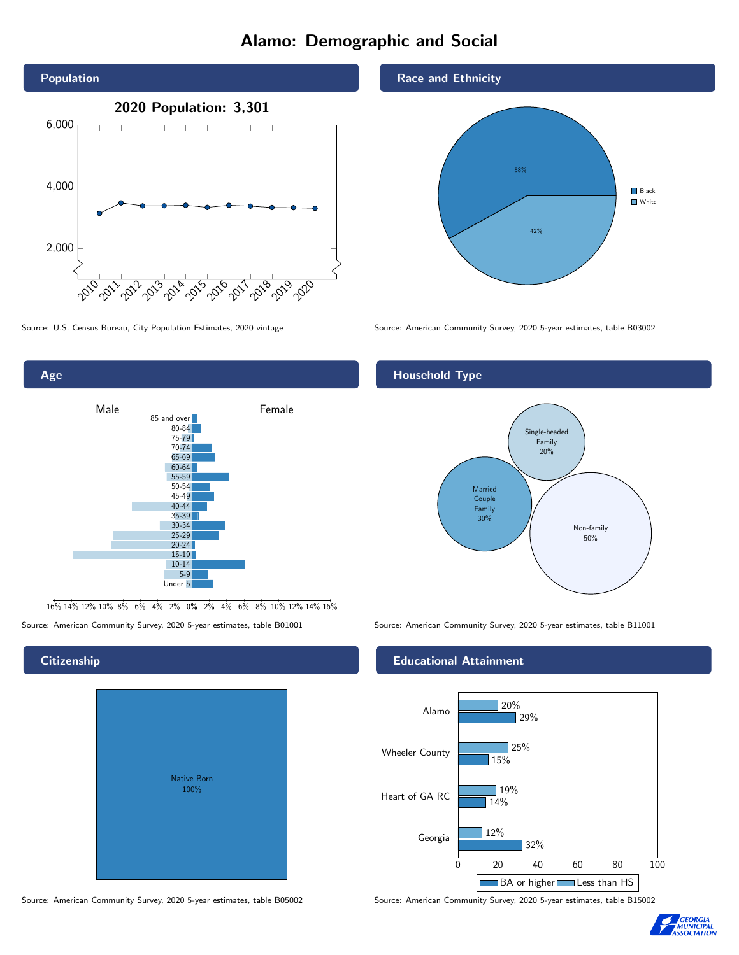# Alamo: Demographic and Social





16% 14% 12% 10% 8% 6% 4% 2% 0% 2% 4% 6% 8% 10% 12% 14% 16%

Source: American Community Survey, 2020 5-year estimates, table B01001 Source: American Community Survey, 2020 5-year estimates, table B11001

# Native Born 100%

Race and Ethnicity



Source: U.S. Census Bureau, City Population Estimates, 2020 vintage Source: American Community Survey, 2020 5-year estimates, table B03002

## Household Type



#### Educational Attainment



Source: American Community Survey, 2020 5-year estimates, table B05002 Source: American Community Survey, 2020 5-year estimates, table B15002



#### **Citizenship**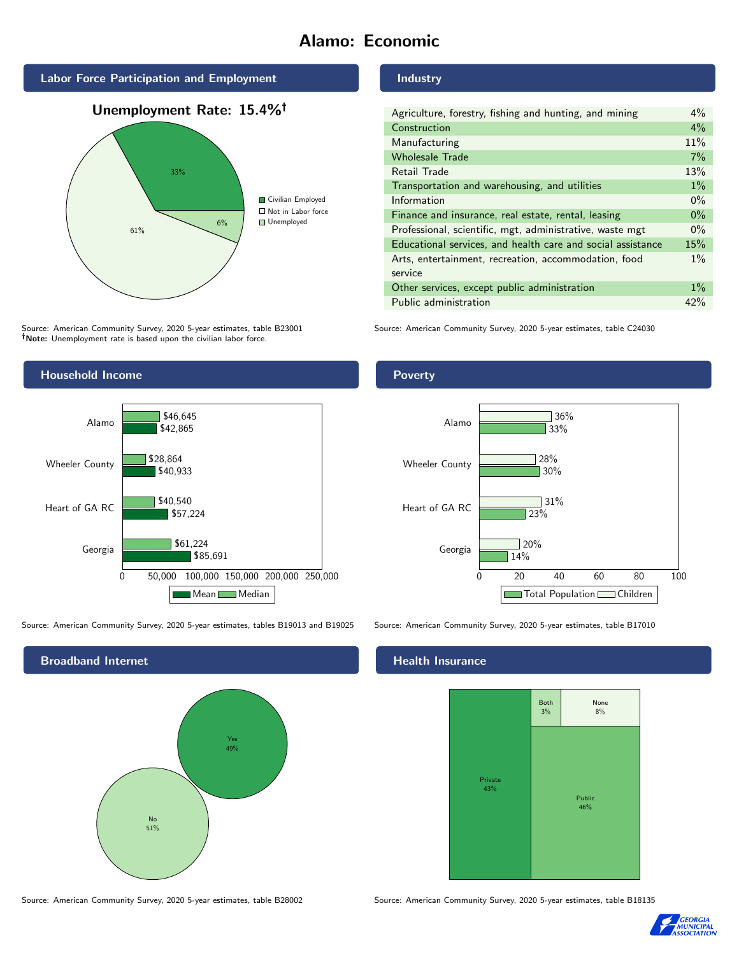# Alamo: Economic







Source: American Community Survey, 2020 5-year estimates, table B23001 Note: Unemployment rate is based upon the civilian labor force.



| Agriculture, forestry, fishing and hunting, and mining      | $4\%$ |
|-------------------------------------------------------------|-------|
| Construction                                                | $4\%$ |
| Manufacturing                                               | 11%   |
| <b>Wholesale Trade</b>                                      | 7%    |
| Retail Trade                                                | 13%   |
| Transportation and warehousing, and utilities               | $1\%$ |
| Information                                                 | $0\%$ |
| Finance and insurance, real estate, rental, leasing         | $0\%$ |
| Professional, scientific, mgt, administrative, waste mgt    | $0\%$ |
| Educational services, and health care and social assistance | 15%   |
| Arts, entertainment, recreation, accommodation, food        | $1\%$ |
| service                                                     |       |
| Other services, except public administration                | $1\%$ |
| Public administration                                       | 42%   |

Source: American Community Survey, 2020 5-year estimates, table C24030



Source: American Community Survey, 2020 5-year estimates, tables B19013 and B19025 Source: American Community Survey, 2020 5-year estimates, table B17010

Broadband Internet No 51% Yes 49%

Poverty



## **Health Insurance**



Source: American Community Survey, 2020 5-year estimates, table B28002 Source: American Community Survey, 2020 5-year estimates, table B18135